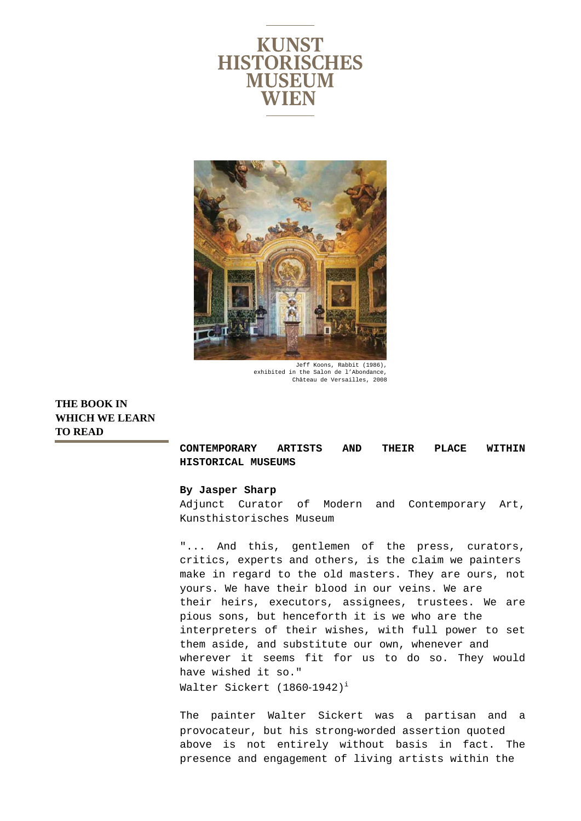



Jeff Koons, Rabbit (1986), exhibited in the Salon de l'Abondance, Château de Versailles, 2008

**THE BOOK IN WHICH WE LEARN TO READ** 

> **CONTEMPORARY ARTISTS AND THEIR PLACE WITHIN HISTORICAL MUSEUMS**

## **By Jasper Sharp**

Adjunct Curator of Modern and Contemporary Art, Kunsthistorisches Museum

"... And this, gentlemen of the press, curators, critics, experts and others, is the claim we painters make in regard to the old masters. They are ours, not yours. We have their blood in our veins. We are their heirs, executors, assignees, trustees. We are pious sons, but henceforth it is we who are the interpreters of their wishes, with full power to set them aside, and substitute our own, whenever and wherever it seems fit for us to do so. They would have wished it so." Walter Sickert (1860-1942)<sup>i</sup>

The painter Walter Sickert was a partisan and a provocateur, but his strong‐worded assertion quoted above is not entirely without basis in fact. The presence and engagement of living artists within the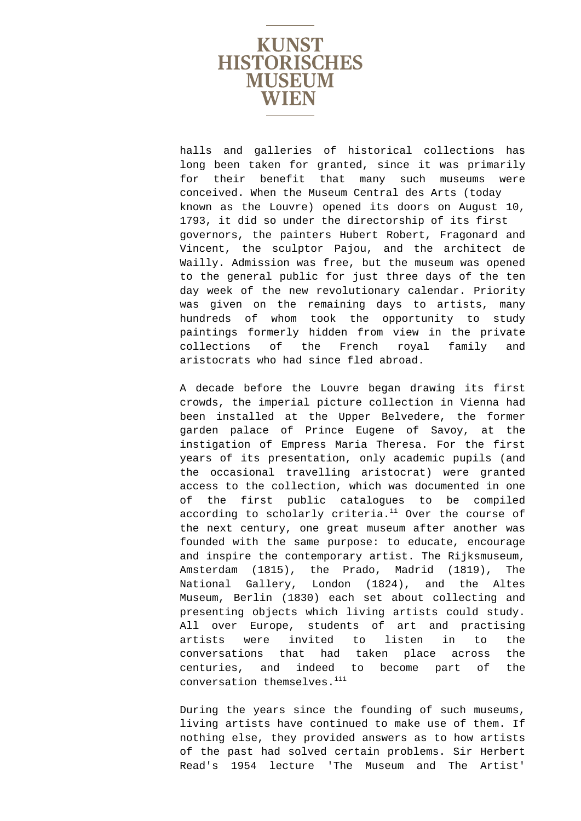

halls and galleries of historical collections has long been taken for granted, since it was primarily for their benefit that many such museums were conceived. When the Museum Central des Arts (today known as the Louvre) opened its doors on August 10, 1793, it did so under the directorship of its first governors, the painters Hubert Robert, Fragonard and Vincent, the sculptor Pajou, and the architect de Wailly. Admission was free, but the museum was opened to the general public for just three days of the ten day week of the new revolutionary calendar. Priority was given on the remaining days to artists, many hundreds of whom took the opportunity to study paintings formerly hidden from view in the private collections of the French royal family and aristocrats who had since fled abroad.

A decade before the Louvre began drawing its first crowds, the imperial picture collection in Vienna had been installed at the Upper Belvedere, the former garden palace of Prince Eugene of Savoy, at the instigation of Empress Maria Theresa. For the first years of its presentation, only academic pupils (and the occasional travelling aristocrat) were granted access to the collection, which was documented in one of the first public catalogues to be compiled according to scholarly criteria.<sup>ii</sup> Over the course of the next century, one great museum after another was founded with the same purpose: to educate, encourage and inspire the contemporary artist. The Rijksmuseum, Amsterdam (1815), the Prado, Madrid (1819), The National Gallery, London (1824), and the Altes Museum, Berlin (1830) each set about collecting and presenting objects which living artists could study. All over Europe, students of art and practising artists were invited to listen in to the conversations that had taken place across the centuries, and indeed to become part of the conversation themselves.<sup>iii</sup>

During the years since the founding of such museums, living artists have continued to make use of them. If nothing else, they provided answers as to how artists of the past had solved certain problems. Sir Herbert Read's 1954 lecture 'The Museum and The Artist'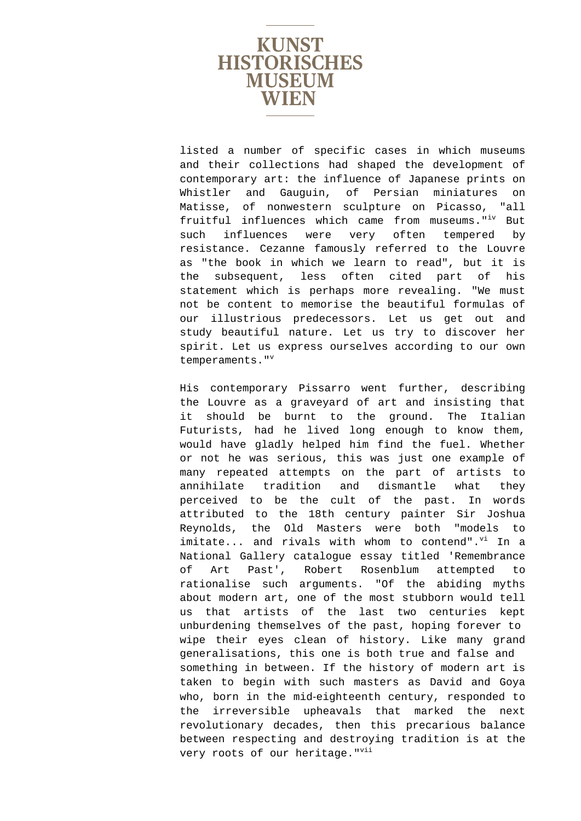

listed a number of specific cases in which museums and their collections had shaped the development of contemporary art: the influence of Japanese prints on Whistler and Gauguin, of Persian miniatures on Matisse, of nonwestern sculpture on Picasso, "all fruitful influences which came from museums."<sup>iv</sup> But such influences were very often tempered by resistance. Cezanne famously referred to the Louvre as "the book in which we learn to read", but it is the subsequent, less often cited part of his statement which is perhaps more revealing. "We must not be content to memorise the beautiful formulas of our illustrious predecessors. Let us get out and study beautiful nature. Let us try to discover her spirit. Let us express ourselves according to our own temperaments. $"$ 

His contemporary Pissarro went further, describing the Louvre as a graveyard of art and insisting that it should be burnt to the ground. The Italian Futurists, had he lived long enough to know them, would have gladly helped him find the fuel. Whether or not he was serious, this was just one example of many repeated attempts on the part of artists to annihilate tradition and dismantle what they perceived to be the cult of the past. In words attributed to the 18th century painter Sir Joshua Reynolds, the Old Masters were both "models to  $imitate...$  and rivals with whom to contend". $v^i$  In a National Gallery catalogue essay titled 'Remembrance of Art Past', Robert Rosenblum attempted to rationalise such arguments. "Of the abiding myths about modern art, one of the most stubborn would tell us that artists of the last two centuries kept unburdening themselves of the past, hoping forever to wipe their eyes clean of history. Like many grand generalisations, this one is both true and false and something in between. If the history of modern art is taken to begin with such masters as David and Goya who, born in the mid-eighteenth century, responded to the irreversible upheavals that marked the next revolutionary decades, then this precarious balance between respecting and destroying tradition is at the very roots of our heritage. "Vii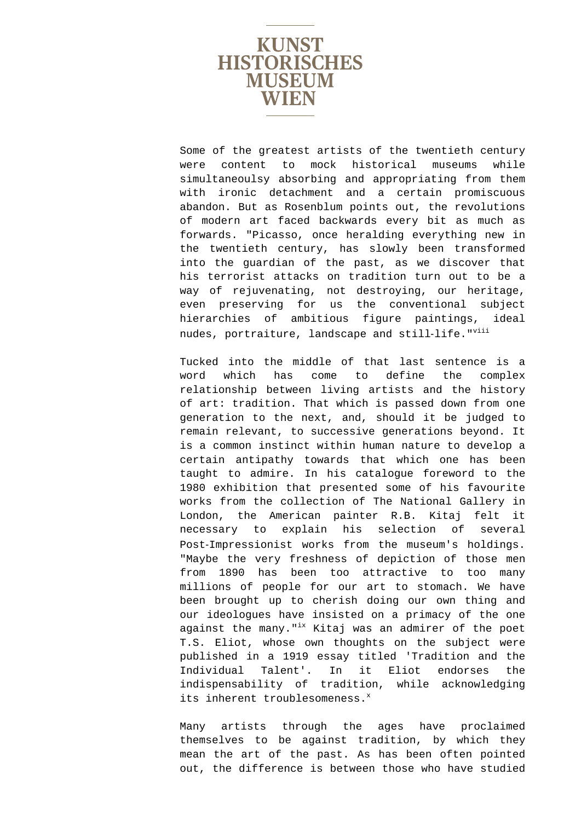

Some of the greatest artists of the twentieth century were content to mock historical museums while simultaneoulsy absorbing and appropriating from them with ironic detachment and a certain promiscuous abandon. But as Rosenblum points out, the revolutions of modern art faced backwards every bit as much as forwards. "Picasso, once heralding everything new in the twentieth century, has slowly been transformed into the guardian of the past, as we discover that his terrorist attacks on tradition turn out to be a way of rejuvenating, not destroying, our heritage, even preserving for us the conventional subject hierarchies of ambitious figure paintings, ideal nudes, portraiture, landscape and still-life."Viii

Tucked into the middle of that last sentence is a word which has come to define the complex relationship between living artists and the history of art: tradition. That which is passed down from one generation to the next, and, should it be judged to remain relevant, to successive generations beyond. It is a common instinct within human nature to develop a certain antipathy towards that which one has been taught to admire. In his catalogue foreword to the 1980 exhibition that presented some of his favourite works from the collection of The National Gallery in London, the American painter R.B. Kitaj felt it necessary to explain his selection of several Post‐Impressionist works from the museum's holdings. "Maybe the very freshness of depiction of those men from 1890 has been too attractive to too many millions of people for our art to stomach. We have been brought up to cherish doing our own thing and our ideologues have insisted on a primacy of the one against the many."<sup>ix</sup> Kitaj was an admirer of the poet T.S. Eliot, whose own thoughts on the subject were published in a 1919 essay titled 'Tradition and the Individual Talent'. In it Eliot endorses the indispensability of tradition, while acknowledging its inherent troublesomeness.<sup>x</sup>

Many artists through the ages have proclaimed themselves to be against tradition, by which they mean the art of the past. As has been often pointed out, the difference is between those who have studied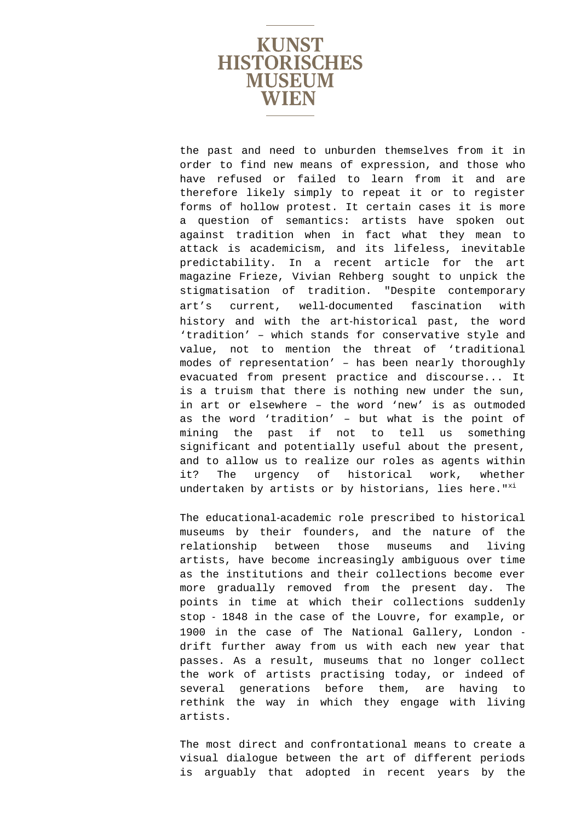

the past and need to unburden themselves from it in order to find new means of expression, and those who have refused or failed to learn from it and are therefore likely simply to repeat it or to register forms of hollow protest. It certain cases it is more a question of semantics: artists have spoken out against tradition when in fact what they mean to attack is academicism, and its lifeless, inevitable predictability. In a recent article for the art magazine Frieze, Vivian Rehberg sought to unpick the stigmatisation of tradition. "Despite contemporary art's current, well‐documented fascination with history and with the art‐historical past, the word 'tradition' – which stands for conservative style and value, not to mention the threat of 'traditional modes of representation' – has been nearly thoroughly evacuated from present practice and discourse... It is a truism that there is nothing new under the sun, in art or elsewhere – the word 'new' is as outmoded as the word 'tradition' – but what is the point of mining the past if not to tell us something significant and potentially useful about the present, and to allow us to realize our roles as agents within it? The urgency of historical work, whether undertaken by artists or by historians, lies here." $x$ <sup>i</sup>

The educational-academic role prescribed to historical museums by their founders, and the nature of the relationship between those museums and living artists, have become increasingly ambiguous over time as the institutions and their collections become ever more gradually removed from the present day. The points in time at which their collections suddenly stop ‐ 1848 in the case of the Louvre, for example, or 1900 in the case of The National Gallery, London ‐ drift further away from us with each new year that passes. As a result, museums that no longer collect the work of artists practising today, or indeed of several generations before them, are having to rethink the way in which they engage with living artists.

The most direct and confrontational means to create a visual dialogue between the art of different periods is arguably that adopted in recent years by the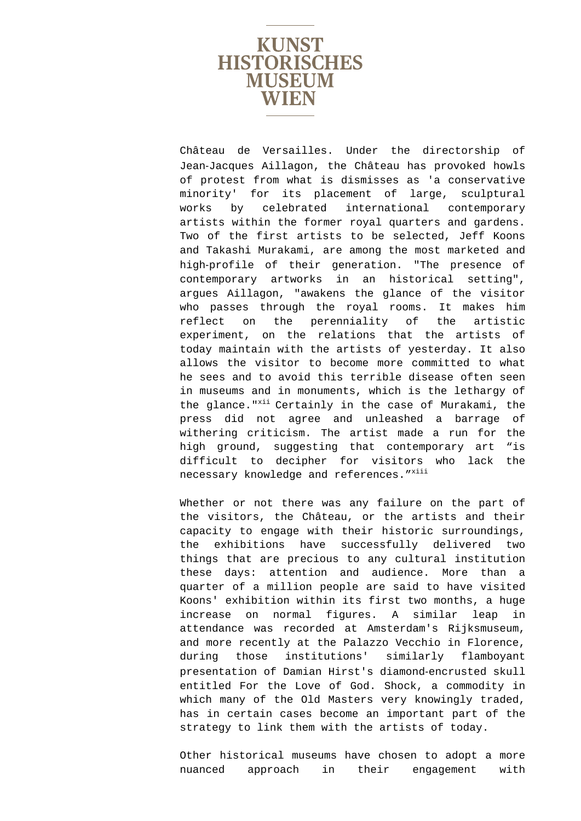

Château de Versailles. Under the directorship of Jean‐Jacques Aillagon, the Château has provoked howls of protest from what is dismisses as 'a conservative minority' for its placement of large, sculptural works by celebrated international contemporary artists within the former royal quarters and gardens. Two of the first artists to be selected, Jeff Koons and Takashi Murakami, are among the most marketed and high‐profile of their generation. "The presence of contemporary artworks in an historical setting", argues Aillagon, "awakens the glance of the visitor who passes through the royal rooms. It makes him reflect on the perenniality of the artistic experiment, on the relations that the artists of today maintain with the artists of yesterday. It also allows the visitor to become more committed to what he sees and to avoid this terrible disease often seen in museums and in monuments, which is the lethargy of the glance."<sup>xii</sup> Certainly in the case of Murakami, the press did not agree and unleashed a barrage of withering criticism. The artist made a run for the high ground, suggesting that contemporary art "is difficult to decipher for visitors who lack the necessary knowledge and references. "xiii

Whether or not there was any failure on the part of the visitors, the Château, or the artists and their capacity to engage with their historic surroundings, the exhibitions have successfully delivered two things that are precious to any cultural institution these days: attention and audience. More than a quarter of a million people are said to have visited Koons' exhibition within its first two months, a huge increase on normal figures. A similar leap in attendance was recorded at Amsterdam's Rijksmuseum, and more recently at the Palazzo Vecchio in Florence, during those institutions' similarly flamboyant presentation of Damian Hirst's diamond‐encrusted skull entitled For the Love of God. Shock, a commodity in which many of the Old Masters very knowingly traded, has in certain cases become an important part of the strategy to link them with the artists of today.

Other historical museums have chosen to adopt a more nuanced approach in their engagement with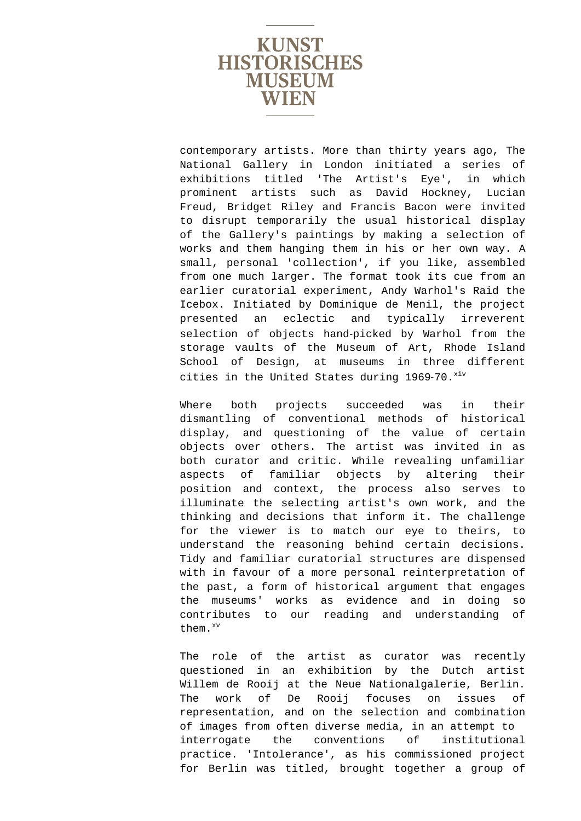

contemporary artists. More than thirty years ago, The National Gallery in London initiated a series of exhibitions titled 'The Artist's Eye', in which prominent artists such as David Hockney, Lucian Freud, Bridget Riley and Francis Bacon were invited to disrupt temporarily the usual historical display of the Gallery's paintings by making a selection of works and them hanging them in his or her own way. A small, personal 'collection', if you like, assembled from one much larger. The format took its cue from an earlier curatorial experiment, Andy Warhol's Raid the Icebox. Initiated by Dominique de Menil, the project presented an eclectic and typically irreverent selection of objects hand-picked by Warhol from the storage vaults of the Museum of Art, Rhode Island School of Design, at museums in three different cities in the United States during 1969-70. xiv

Where both projects succeeded was in their dismantling of conventional methods of historical display, and questioning of the value of certain objects over others. The artist was invited in as both curator and critic. While revealing unfamiliar aspects of familiar objects by altering their position and context, the process also serves to illuminate the selecting artist's own work, and the thinking and decisions that inform it. The challenge for the viewer is to match our eye to theirs, to understand the reasoning behind certain decisions. Tidy and familiar curatorial structures are dispensed with in favour of a more personal reinterpretation of the past, a form of historical argument that engages the museums' works as evidence and in doing so contributes to our reading and understanding of them.xv

The role of the artist as curator was recently questioned in an exhibition by the Dutch artist Willem de Rooij at the Neue Nationalgalerie, Berlin. The work of De Rooij focuses on issues of representation, and on the selection and combination of images from often diverse media, in an attempt to interrogate the conventions of institutional practice. 'Intolerance', as his commissioned project for Berlin was titled, brought together a group of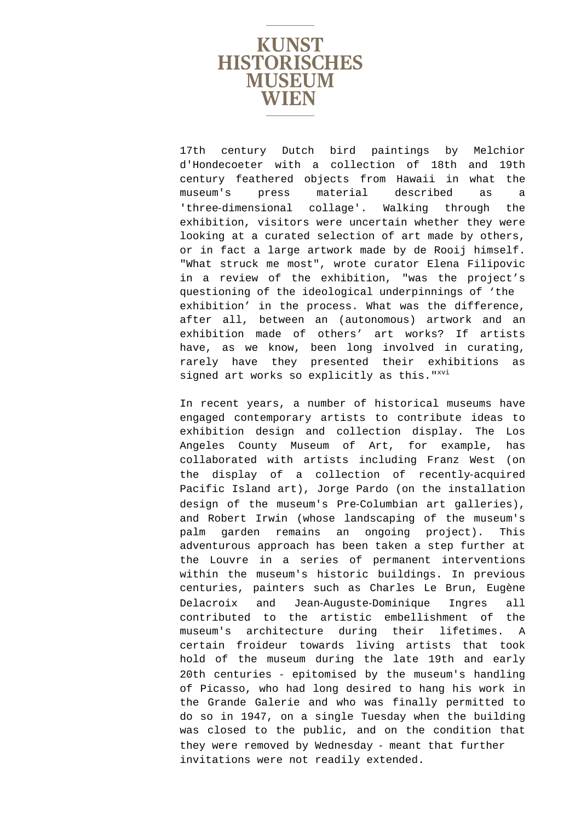

17th century Dutch bird paintings by Melchior d'Hondecoeter with a collection of 18th and 19th century feathered objects from Hawaii in what the museum's press material described as a 'three‐dimensional collage'. Walking through the exhibition, visitors were uncertain whether they were looking at a curated selection of art made by others, or in fact a large artwork made by de Rooij himself. "What struck me most", wrote curator Elena Filipovic in a review of the exhibition, "was the project's questioning of the ideological underpinnings of 'the exhibition' in the process. What was the difference, after all, between an (autonomous) artwork and an exhibition made of others' art works? If artists have, as we know, been long involved in curating, rarely have they presented their exhibitions as signed art works so explicitly as this."<sup>xvi</sup>

In recent years, a number of historical museums have engaged contemporary artists to contribute ideas to exhibition design and collection display. The Los Angeles County Museum of Art, for example, has collaborated with artists including Franz West (on the display of a collection of recently‐acquired Pacific Island art), Jorge Pardo (on the installation design of the museum's Pre‐Columbian art galleries), and Robert Irwin (whose landscaping of the museum's palm garden remains an ongoing project). This adventurous approach has been taken a step further at the Louvre in a series of permanent interventions within the museum's historic buildings. In previous centuries, painters such as Charles Le Brun, Eugène Delacroix and Jean‐Auguste‐Dominique Ingres all contributed to the artistic embellishment of the museum's architecture during their lifetimes. A certain froideur towards living artists that took hold of the museum during the late 19th and early 20th centuries ‐ epitomised by the museum's handling of Picasso, who had long desired to hang his work in the Grande Galerie and who was finally permitted to do so in 1947, on a single Tuesday when the building was closed to the public, and on the condition that they were removed by Wednesday ‐ meant that further invitations were not readily extended.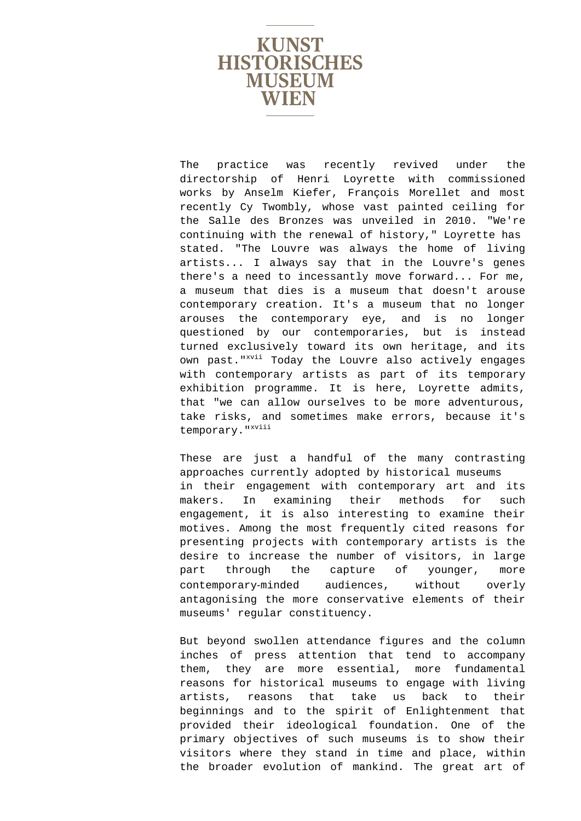

The practice was recently revived under the directorship of Henri Loyrette with commissioned works by Anselm Kiefer, François Morellet and most recently Cy Twombly, whose vast painted ceiling for the Salle des Bronzes was unveiled in 2010. "We're continuing with the renewal of history," Loyrette has stated. "The Louvre was always the home of living artists... I always say that in the Louvre's genes there's a need to incessantly move forward... For me, a museum that dies is a museum that doesn't arouse contemporary creation. It's a museum that no longer arouses the contemporary eye, and is no longer questioned by our contemporaries, but is instead turned exclusively toward its own heritage, and its own past."<sup>xvii</sup> Today the Louvre also actively engages with contemporary artists as part of its temporary exhibition programme. It is here, Loyrette admits, that "we can allow ourselves to be more adventurous, take risks, and sometimes make errors, because it's temporary."<sup>xviii</sup>

These are just a handful of the many contrasting approaches currently adopted by historical museums in their engagement with contemporary art and its makers. In examining their methods for such engagement, it is also interesting to examine their motives. Among the most frequently cited reasons for presenting projects with contemporary artists is the desire to increase the number of visitors, in large part through the capture of younger, more contemporary‐minded audiences, without overly antagonising the more conservative elements of their museums' regular constituency.

But beyond swollen attendance figures and the column inches of press attention that tend to accompany them, they are more essential, more fundamental reasons for historical museums to engage with living artists, reasons that take us back to their beginnings and to the spirit of Enlightenment that provided their ideological foundation. One of the primary objectives of such museums is to show their visitors where they stand in time and place, within the broader evolution of mankind. The great art of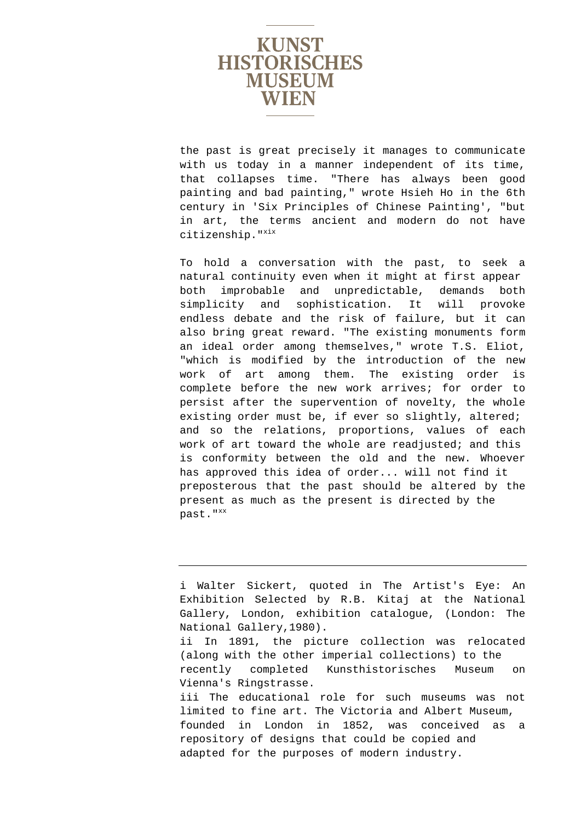

the past is great precisely it manages to communicate with us today in a manner independent of its time, that collapses time. "There has always been good painting and bad painting," wrote Hsieh Ho in the 6th century in 'Six Principles of Chinese Painting', "but in art, the terms ancient and modern do not have  $citizenship.$ "<sup>xix</sup>

To hold a conversation with the past, to seek a natural continuity even when it might at first appear both improbable and unpredictable, demands both simplicity and sophistication. It will provoke endless debate and the risk of failure, but it can also bring great reward. "The existing monuments form an ideal order among themselves," wrote T.S. Eliot, "which is modified by the introduction of the new work of art among them. The existing order is complete before the new work arrives; for order to persist after the supervention of novelty, the whole existing order must be, if ever so slightly, altered; and so the relations, proportions, values of each work of art toward the whole are readjusted; and this is conformity between the old and the new. Whoever has approved this idea of order... will not find it preposterous that the past should be altered by the present as much as the present is directed by the past."Xx

i Walter Sickert, quoted in The Artist's Eye: An Exhibition Selected by R.B. Kitaj at the National Gallery, London, exhibition catalogue, (London: The National Gallery,1980). ii In 1891, the picture collection was relocated (along with the other imperial collections) to the recently completed Kunsthistorisches Museum on Vienna's Ringstrasse. iii The educational role for such museums was not limited to fine art. The Victoria and Albert Museum, founded in London in 1852, was conceived as a repository of designs that could be copied and adapted for the purposes of modern industry.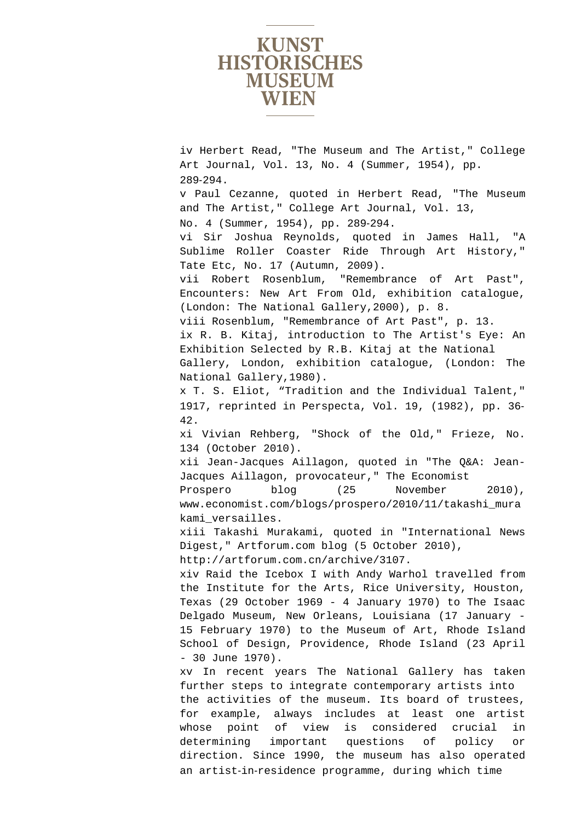

iv Herbert Read, "The Museum and The Artist," College Art Journal, Vol. 13, No. 4 (Summer, 1954), pp. 289‐294. v Paul Cezanne, quoted in Herbert Read, "The Museum and The Artist," College Art Journal, Vol. 13, No. 4 (Summer, 1954), pp. 289‐294. vi Sir Joshua Reynolds, quoted in James Hall, "A Sublime Roller Coaster Ride Through Art History," Tate Etc, No. 17 (Autumn, 2009). vii Robert Rosenblum, "Remembrance of Art Past", Encounters: New Art From Old, exhibition catalogue, (London: The National Gallery,2000), p. 8. viii Rosenblum, "Remembrance of Art Past", p. 13. ix R. B. Kitaj, introduction to The Artist's Eye: An Exhibition Selected by R.B. Kitaj at the National Gallery, London, exhibition catalogue, (London: The National Gallery,1980). x T. S. Eliot, "Tradition and the Individual Talent," 1917, reprinted in Perspecta, Vol. 19, (1982), pp. 36‐ 42. xi Vivian Rehberg, "Shock of the Old," Frieze, No. 134 (October 2010). xii Jean-Jacques Aillagon, quoted in "The Q&A: Jean-Jacques Aillagon, provocateur," The Economist Prospero blog (25 November 2010), www.economist.com/blogs/prospero/2010/11/takashi\_mura kami\_versailles. xiii Takashi Murakami, quoted in "International News Digest," Artforum.com blog (5 October 2010), http://artforum.com.cn/archive/3107. xiv Raid the Icebox I with Andy Warhol travelled from the Institute for the Arts, Rice University, Houston, Texas (29 October 1969 - 4 January 1970) to The Isaac Delgado Museum, New Orleans, Louisiana (17 January - 15 February 1970) to the Museum of Art, Rhode Island School of Design, Providence, Rhode Island (23 April - 30 June 1970). xv In recent years The National Gallery has taken further steps to integrate contemporary artists into the activities of the museum. Its board of trustees, for example, always includes at least one artist whose point of view is considered crucial in determining important questions of policy or direction. Since 1990, the museum has also operated an artist‐in‐residence programme, during which time